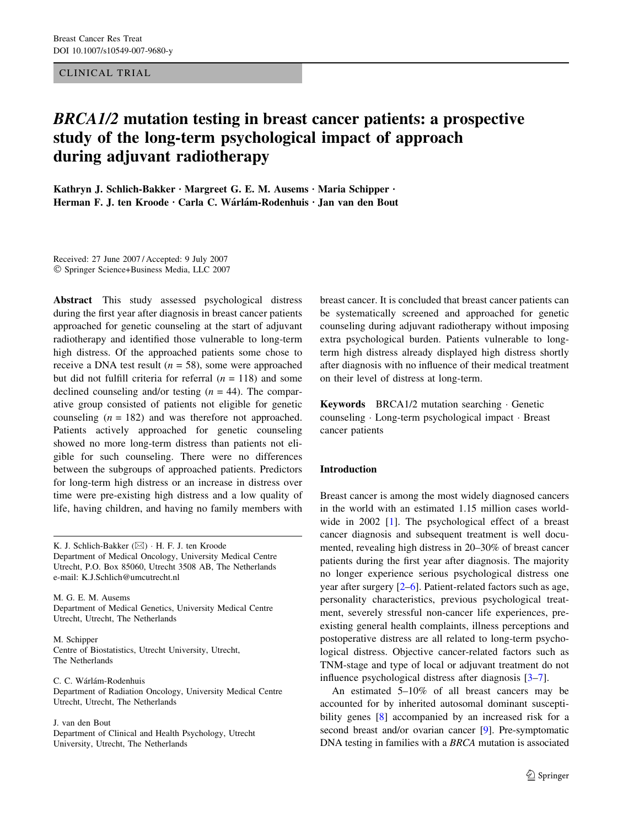CLINICAL TRIAL

# BRCA1/2 mutation testing in breast cancer patients: a prospective study of the long-term psychological impact of approach during adjuvant radiotherapy

Kathryn J. Schlich-Bakker · Margreet G. E. M. Ausems · Maria Schipper · Herman F. J. ten Kroode · Carla C. Wárlám-Rodenhuis · Jan van den Bout

Received: 27 June 2007 / Accepted: 9 July 2007 Springer Science+Business Media, LLC 2007

Abstract This study assessed psychological distress during the first year after diagnosis in breast cancer patients approached for genetic counseling at the start of adjuvant radiotherapy and identified those vulnerable to long-term high distress. Of the approached patients some chose to receive a DNA test result ( $n = 58$ ), some were approached but did not fulfill criteria for referral  $(n = 118)$  and some declined counseling and/or testing  $(n = 44)$ . The comparative group consisted of patients not eligible for genetic counseling  $(n = 182)$  and was therefore not approached. Patients actively approached for genetic counseling showed no more long-term distress than patients not eligible for such counseling. There were no differences between the subgroups of approached patients. Predictors for long-term high distress or an increase in distress over time were pre-existing high distress and a low quality of life, having children, and having no family members with

K. J. Schlich-Bakker (⊠) · H. F. J. ten Kroode Department of Medical Oncology, University Medical Centre Utrecht, P.O. Box 85060, Utrecht 3508 AB, The Netherlands e-mail: K.J.Schlich@umcutrecht.nl

M. G. E. M. Ausems Department of Medical Genetics, University Medical Centre Utrecht, Utrecht, The Netherlands

M. Schipper Centre of Biostatistics, Utrecht University, Utrecht, The Netherlands

C. C. Wárlám-Rodenhuis Department of Radiation Oncology, University Medical Centre Utrecht, Utrecht, The Netherlands

J. van den Bout

Department of Clinical and Health Psychology, Utrecht University, Utrecht, The Netherlands

breast cancer. It is concluded that breast cancer patients can be systematically screened and approached for genetic counseling during adjuvant radiotherapy without imposing extra psychological burden. Patients vulnerable to longterm high distress already displayed high distress shortly after diagnosis with no influence of their medical treatment on their level of distress at long-term.

Keywords BRCA1/2 mutation searching Genetic counseling · Long-term psychological impact · Breast cancer patients

## Introduction

Breast cancer is among the most widely diagnosed cancers in the world with an estimated 1.15 million cases worldwide in 2002 [[1](#page-7-0)]. The psychological effect of a breast cancer diagnosis and subsequent treatment is well documented, revealing high distress in 20–30% of breast cancer patients during the first year after diagnosis. The majority no longer experience serious psychological distress one year after surgery [\[2–6](#page-7-0)]. Patient-related factors such as age, personality characteristics, previous psychological treatment, severely stressful non-cancer life experiences, preexisting general health complaints, illness perceptions and postoperative distress are all related to long-term psychological distress. Objective cancer-related factors such as TNM-stage and type of local or adjuvant treatment do not influence psychological distress after diagnosis [[3–7](#page-7-0)].

An estimated 5–10% of all breast cancers may be accounted for by inherited autosomal dominant suscepti-bility genes [[8\]](#page-7-0) accompanied by an increased risk for a second breast and/or ovarian cancer [\[9](#page-7-0)]. Pre-symptomatic DNA testing in families with a BRCA mutation is associated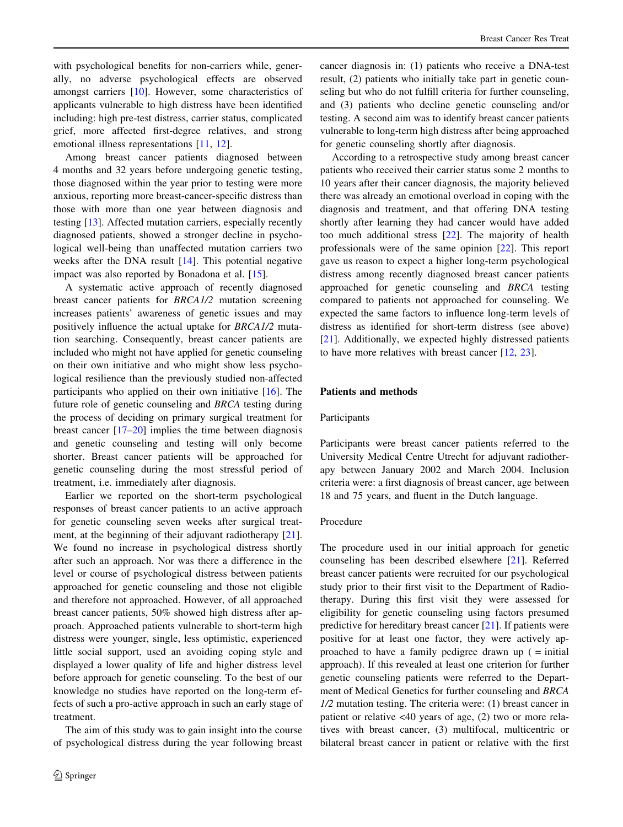with psychological benefits for non-carriers while, generally, no adverse psychological effects are observed amongst carriers [[10\]](#page-7-0). However, some characteristics of applicants vulnerable to high distress have been identified including: high pre-test distress, carrier status, complicated grief, more affected first-degree relatives, and strong emotional illness representations [[11,](#page-7-0) [12](#page-7-0)].

Among breast cancer patients diagnosed between 4 months and 32 years before undergoing genetic testing, those diagnosed within the year prior to testing were more anxious, reporting more breast-cancer-specific distress than those with more than one year between diagnosis and testing [[13\]](#page-7-0). Affected mutation carriers, especially recently diagnosed patients, showed a stronger decline in psychological well-being than unaffected mutation carriers two weeks after the DNA result [\[14](#page-7-0)]. This potential negative impact was also reported by Bonadona et al. [[15\]](#page-7-0).

A systematic active approach of recently diagnosed breast cancer patients for BRCA1/2 mutation screening increases patients' awareness of genetic issues and may positively influence the actual uptake for BRCA1/2 mutation searching. Consequently, breast cancer patients are included who might not have applied for genetic counseling on their own initiative and who might show less psychological resilience than the previously studied non-affected participants who applied on their own initiative [\[16](#page-7-0)]. The future role of genetic counseling and BRCA testing during the process of deciding on primary surgical treatment for breast cancer [[17–20\]](#page-7-0) implies the time between diagnosis and genetic counseling and testing will only become shorter. Breast cancer patients will be approached for genetic counseling during the most stressful period of treatment, i.e. immediately after diagnosis.

Earlier we reported on the short-term psychological responses of breast cancer patients to an active approach for genetic counseling seven weeks after surgical treatment, at the beginning of their adjuvant radiotherapy [\[21](#page-7-0)]. We found no increase in psychological distress shortly after such an approach. Nor was there a difference in the level or course of psychological distress between patients approached for genetic counseling and those not eligible and therefore not approached. However, of all approached breast cancer patients, 50% showed high distress after approach. Approached patients vulnerable to short-term high distress were younger, single, less optimistic, experienced little social support, used an avoiding coping style and displayed a lower quality of life and higher distress level before approach for genetic counseling. To the best of our knowledge no studies have reported on the long-term effects of such a pro-active approach in such an early stage of treatment.

The aim of this study was to gain insight into the course of psychological distress during the year following breast cancer diagnosis in: (1) patients who receive a DNA-test result, (2) patients who initially take part in genetic counseling but who do not fulfill criteria for further counseling, and (3) patients who decline genetic counseling and/or testing. A second aim was to identify breast cancer patients vulnerable to long-term high distress after being approached for genetic counseling shortly after diagnosis.

According to a retrospective study among breast cancer patients who received their carrier status some 2 months to 10 years after their cancer diagnosis, the majority believed there was already an emotional overload in coping with the diagnosis and treatment, and that offering DNA testing shortly after learning they had cancer would have added too much additional stress [\[22](#page-7-0)]. The majority of health professionals were of the same opinion [\[22](#page-7-0)]. This report gave us reason to expect a higher long-term psychological distress among recently diagnosed breast cancer patients approached for genetic counseling and BRCA testing compared to patients not approached for counseling. We expected the same factors to influence long-term levels of distress as identified for short-term distress (see above) [\[21](#page-7-0)]. Additionally, we expected highly distressed patients to have more relatives with breast cancer [[12,](#page-7-0) [23\]](#page-7-0).

### Patients and methods

### Participants

Participants were breast cancer patients referred to the University Medical Centre Utrecht for adjuvant radiotherapy between January 2002 and March 2004. Inclusion criteria were: a first diagnosis of breast cancer, age between 18 and 75 years, and fluent in the Dutch language.

### Procedure

The procedure used in our initial approach for genetic counseling has been described elsewhere [\[21](#page-7-0)]. Referred breast cancer patients were recruited for our psychological study prior to their first visit to the Department of Radiotherapy. During this first visit they were assessed for eligibility for genetic counseling using factors presumed predictive for hereditary breast cancer [[21\]](#page-7-0). If patients were positive for at least one factor, they were actively approached to have a family pedigree drawn up ( = initial approach). If this revealed at least one criterion for further genetic counseling patients were referred to the Department of Medical Genetics for further counseling and BRCA 1/2 mutation testing. The criteria were: (1) breast cancer in patient or relative <40 years of age, (2) two or more relatives with breast cancer, (3) multifocal, multicentric or bilateral breast cancer in patient or relative with the first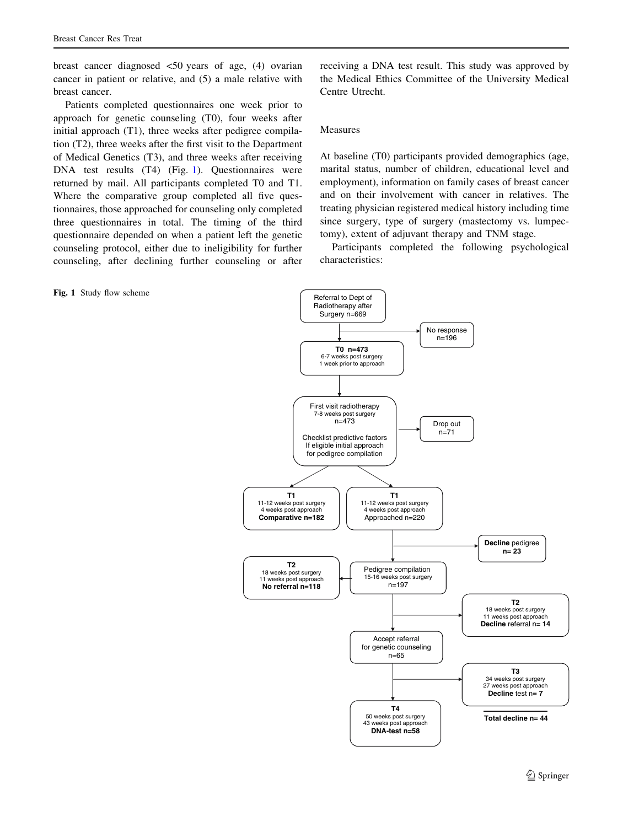<span id="page-2-0"></span>breast cancer diagnosed <50 years of age, (4) ovarian cancer in patient or relative, and (5) a male relative with breast cancer.

Patients completed questionnaires one week prior to approach for genetic counseling (T0), four weeks after initial approach (T1), three weeks after pedigree compilation (T2), three weeks after the first visit to the Department of Medical Genetics (T3), and three weeks after receiving DNA test results (T4) (Fig. 1). Questionnaires were returned by mail. All participants completed T0 and T1. Where the comparative group completed all five questionnaires, those approached for counseling only completed three questionnaires in total. The timing of the third questionnaire depended on when a patient left the genetic counseling protocol, either due to ineligibility for further counseling, after declining further counseling or after

Fig. 1 Study flow scheme

receiving a DNA test result. This study was approved by the Medical Ethics Committee of the University Medical Centre Utrecht.

### Measures

At baseline (T0) participants provided demographics (age, marital status, number of children, educational level and employment), information on family cases of breast cancer and on their involvement with cancer in relatives. The treating physician registered medical history including time since surgery, type of surgery (mastectomy vs. lumpectomy), extent of adjuvant therapy and TNM stage.

Participants completed the following psychological characteristics:

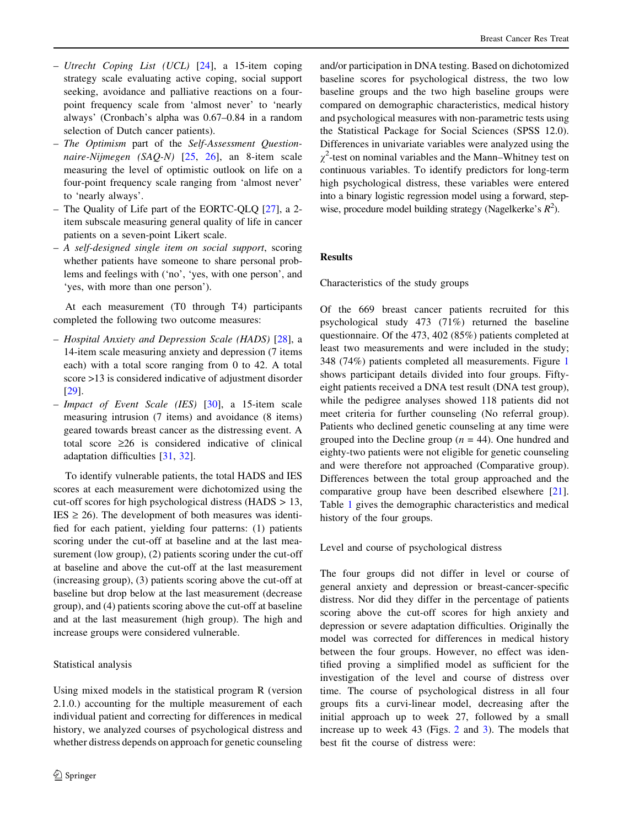- Utrecht Coping List (UCL)  $[24]$  $[24]$ , a 15-item coping strategy scale evaluating active coping, social support seeking, avoidance and palliative reactions on a fourpoint frequency scale from 'almost never' to 'nearly always' (Cronbach's alpha was 0.67–0.84 in a random selection of Dutch cancer patients).
- The Optimism part of the Self-Assessment Questionnaire-Nijmegen (SAQ-N) [[25](#page-7-0), [26](#page-7-0)], an 8-item scale measuring the level of optimistic outlook on life on a four-point frequency scale ranging from 'almost never' to 'nearly always'.
- The Quality of Life part of the EORTC-QLQ [[27\]](#page-7-0), a 2 item subscale measuring general quality of life in cancer patients on a seven-point Likert scale.
- A self-designed single item on social support, scoring whether patients have someone to share personal problems and feelings with ('no', 'yes, with one person', and 'yes, with more than one person').

At each measurement (T0 through T4) participants completed the following two outcome measures:

- Hospital Anxiety and Depression Scale (HADS) [\[28](#page-7-0)], a 14-item scale measuring anxiety and depression (7 items each) with a total score ranging from 0 to 42. A total score >13 is considered indicative of adjustment disorder [\[29](#page-7-0)].
- Impact of Event Scale (IES) [\[30](#page-7-0)], a 15-item scale measuring intrusion (7 items) and avoidance (8 items) geared towards breast cancer as the distressing event. A total score  $\geq 26$  is considered indicative of clinical adaptation difficulties [[31,](#page-7-0) [32](#page-7-0)].

To identify vulnerable patients, the total HADS and IES scores at each measurement were dichotomized using the cut-off scores for high psychological distress (HADS > 13,  $IES \ge 26$ ). The development of both measures was identified for each patient, yielding four patterns: (1) patients scoring under the cut-off at baseline and at the last measurement (low group), (2) patients scoring under the cut-off at baseline and above the cut-off at the last measurement (increasing group), (3) patients scoring above the cut-off at baseline but drop below at the last measurement (decrease group), and (4) patients scoring above the cut-off at baseline and at the last measurement (high group). The high and increase groups were considered vulnerable.

# Statistical analysis

Using mixed models in the statistical program R (version 2.1.0.) accounting for the multiple measurement of each individual patient and correcting for differences in medical history, we analyzed courses of psychological distress and whether distress depends on approach for genetic counseling

and/or participation in DNA testing. Based on dichotomized baseline scores for psychological distress, the two low baseline groups and the two high baseline groups were compared on demographic characteristics, medical history and psychological measures with non-parametric tests using the Statistical Package for Social Sciences (SPSS 12.0). Differences in univariate variables were analyzed using the  $\chi^2$ -test on nominal variables and the Mann–Whitney test on continuous variables. To identify predictors for long-term high psychological distress, these variables were entered into a binary logistic regression model using a forward, stepwise, procedure model building strategy (Nagelkerke's  $R^2$ ).

# Results

Characteristics of the study groups

Of the 669 breast cancer patients recruited for this psychological study 473 (71%) returned the baseline questionnaire. Of the 473, 402 (85%) patients completed at least two measurements and were included in the study; 348 (74%) patients completed all measurements. Figure [1](#page-2-0) shows participant details divided into four groups. Fiftyeight patients received a DNA test result (DNA test group), while the pedigree analyses showed 118 patients did not meet criteria for further counseling (No referral group). Patients who declined genetic counseling at any time were grouped into the Decline group ( $n = 44$ ). One hundred and eighty-two patients were not eligible for genetic counseling and were therefore not approached (Comparative group). Differences between the total group approached and the comparative group have been described elsewhere [\[21](#page-7-0)]. Table [1](#page-4-0) gives the demographic characteristics and medical history of the four groups.

Level and course of psychological distress

The four groups did not differ in level or course of general anxiety and depression or breast-cancer-specific distress. Nor did they differ in the percentage of patients scoring above the cut-off scores for high anxiety and depression or severe adaptation difficulties. Originally the model was corrected for differences in medical history between the four groups. However, no effect was identified proving a simplified model as sufficient for the investigation of the level and course of distress over time. The course of psychological distress in all four groups fits a curvi-linear model, decreasing after the initial approach up to week 27, followed by a small increase up to week 43 (Figs. [2](#page-5-0) and [3\)](#page-5-0). The models that best fit the course of distress were: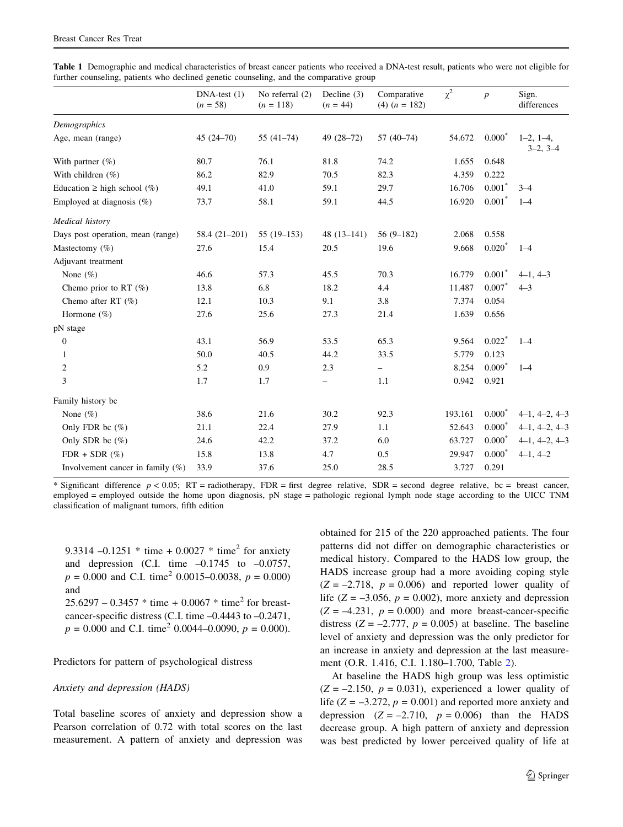|                                     | $DNA-test(1)$<br>$(n = 58)$ | No referral (2)<br>$(n = 118)$ | Decline $(3)$<br>$(n = 44)$ | Comparative<br>$(4)$ $(n = 182)$ | $\chi^2$ | $\boldsymbol{p}$     | Sign.<br>differences      |
|-------------------------------------|-----------------------------|--------------------------------|-----------------------------|----------------------------------|----------|----------------------|---------------------------|
| Demographics                        |                             |                                |                             |                                  |          |                      |                           |
| Age, mean (range)                   | $45(24 - 70)$               | $55(41-74)$                    | 49 (28-72)                  | $57(40-74)$                      | 54.672   | $0.000*$             | $1-2, 1-4,$<br>$3-2, 3-4$ |
| With partner $(\%)$                 | 80.7                        | 76.1                           | 81.8                        | 74.2                             | 1.655    | 0.648                |                           |
| With children $(\% )$               | 86.2                        | 82.9                           | 70.5                        | 82.3                             | 4.359    | 0.222                |                           |
| Education $\geq$ high school (%)    | 49.1                        | 41.0                           | 59.1                        | 29.7                             | 16.706   | $0.001*$             | $3 - 4$                   |
| Employed at diagnosis $(\%)$        | 73.7                        | 58.1                           | 59.1                        | 44.5                             | 16.920   | $0.001*$             | $1 - 4$                   |
| Medical history                     |                             |                                |                             |                                  |          |                      |                           |
| Days post operation, mean (range)   | 58.4 (21-201)               | $55(19-153)$                   | $48(13-141)$                | $56(9-182)$                      | 2.068    | 0.558                |                           |
| Mastectomy $(\%)$                   | 27.6                        | 15.4                           | 20.5                        | 19.6                             | 9.668    | $0.020*$             | $1 - 4$                   |
| Adjuvant treatment                  |                             |                                |                             |                                  |          |                      |                           |
| None $(\%)$                         | 46.6                        | 57.3                           | 45.5                        | 70.3                             | 16.779   | $0.001*$             | $4-1, 4-3$                |
| Chemo prior to RT $(\%)$            | 13.8                        | 6.8                            | 18.2                        | 4.4                              | 11.487   | $0.007*$             | $4 - 3$                   |
| Chemo after RT $(\%)$               | 12.1                        | 10.3                           | 9.1                         | 3.8                              | 7.374    | 0.054                |                           |
| Hormone $(\% )$                     | 27.6                        | 25.6                           | 27.3                        | 21.4                             | 1.639    | 0.656                |                           |
| pN stage                            |                             |                                |                             |                                  |          |                      |                           |
| $\boldsymbol{0}$                    | 43.1                        | 56.9                           | 53.5                        | 65.3                             | 9.564    | $0.022$ <sup>*</sup> | $1 - 4$                   |
| $\mathbf{1}$                        | 50.0                        | 40.5                           | 44.2                        | 33.5                             | 5.779    | 0.123                |                           |
| $\mathfrak{2}$                      | 5.2                         | 0.9                            | 2.3                         | $\overline{\phantom{0}}$         | 8.254    | $0.009$ <sup>*</sup> | $1 - 4$                   |
| 3                                   | 1.7                         | 1.7                            | -                           | 1.1                              | 0.942    | 0.921                |                           |
| Family history bc                   |                             |                                |                             |                                  |          |                      |                           |
| None $(\%)$                         | 38.6                        | 21.6                           | 30.2                        | 92.3                             | 193.161  | $0.000*$             | $4-1, 4-2, 4-3$           |
| Only FDR bc $(\%)$                  | 21.1                        | 22.4                           | 27.9                        | 1.1                              | 52.643   | $0.000*$             | $4-1, 4-2, 4-3$           |
| Only SDR bc $(\%)$                  | 24.6                        | 42.2                           | 37.2                        | 6.0                              | 63.727   | $0.000*$             | $4-1, 4-2, 4-3$           |
| $FDR + SDR (\%)$                    | 15.8                        | 13.8                           | 4.7                         | 0.5                              | 29.947   | $0.000*$             | $4-1, 4-2$                |
| Involvement cancer in family $(\%)$ | 33.9                        | 37.6                           | 25.0                        | 28.5                             | 3.727    | 0.291                |                           |

<span id="page-4-0"></span>Table 1 Demographic and medical characteristics of breast cancer patients who received a DNA-test result, patients who were not eligible for further counseling, patients who declined genetic counseling, and the comparative group

\* Significant difference  $p < 0.05$ ; RT = radiotherapy, FDR = first degree relative, SDR = second degree relative, bc = breast cancer, employed = employed outside the home upon diagnosis, pN stage = pathologic regional lymph node stage according to the UICC TNM classification of malignant tumors, fifth edition

9.3314 –0.1251  $*$  time + 0.0027  $*$  time<sup>2</sup> for anxiety and depression (C.I. time  $-0.1745$  to  $-0.0757$ ,  $p = 0.000$  and C.I. time<sup>2</sup> 0.0015–0.0038,  $p = 0.000$ ) and

 $25.6297 - 0.3457 * time + 0.0067 * time<sup>2</sup> for breast$ cancer-specific distress (C.I. time –0.4443 to –0.2471,  $p = 0.000$  and C.I. time<sup>2</sup> 0.0044–0.0090,  $p = 0.000$ ).

Predictors for pattern of psychological distress

#### Anxiety and depression (HADS)

Total baseline scores of anxiety and depression show a Pearson correlation of 0.72 with total scores on the last measurement. A pattern of anxiety and depression was obtained for 215 of the 220 approached patients. The four patterns did not differ on demographic characteristics or medical history. Compared to the HADS low group, the HADS increase group had a more avoiding coping style  $(Z = -2.718, p = 0.006)$  and reported lower quality of life ( $Z = -3.056$ ,  $p = 0.002$ ), more anxiety and depression  $(Z = -4.231, p = 0.000)$  and more breast-cancer-specific distress ( $Z = -2.777$ ,  $p = 0.005$ ) at baseline. The baseline level of anxiety and depression was the only predictor for an increase in anxiety and depression at the last measurement (O.R. 1.416, C.I. 1.180–1.700, Table [2](#page-6-0)).

At baseline the HADS high group was less optimistic  $(Z = -2.150, p = 0.031)$ , experienced a lower quality of life ( $Z = -3.272$ ,  $p = 0.001$ ) and reported more anxiety and depression  $(Z = -2.710, p = 0.006)$  than the HADS decrease group. A high pattern of anxiety and depression was best predicted by lower perceived quality of life at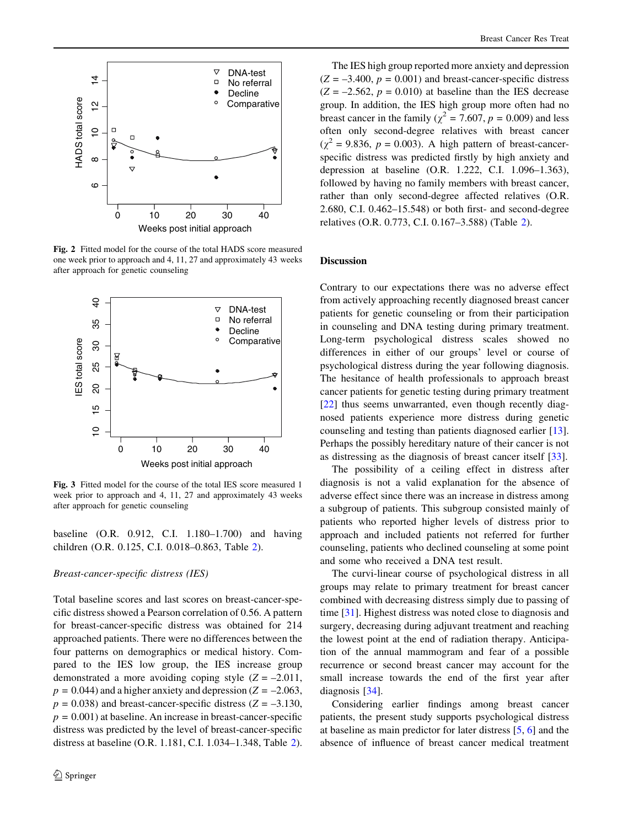<span id="page-5-0"></span>

Fig. 2 Fitted model for the course of the total HADS score measured one week prior to approach and 4, 11, 27 and approximately 43 weeks after approach for genetic counseling



Fig. 3 Fitted model for the course of the total IES score measured 1 week prior to approach and 4, 11, 27 and approximately 43 weeks after approach for genetic counseling

baseline (O.R. 0.912, C.I. 1.180–1.700) and having children (O.R. 0.125, C.I. 0.018–0.863, Table [2](#page-6-0)).

### Breast-cancer-specific distress (IES)

Total baseline scores and last scores on breast-cancer-specific distress showed a Pearson correlation of 0.56. A pattern for breast-cancer-specific distress was obtained for 214 approached patients. There were no differences between the four patterns on demographics or medical history. Compared to the IES low group, the IES increase group demonstrated a more avoiding coping style  $(Z = -2.011$ ,  $p = 0.044$ ) and a higher anxiety and depression ( $Z = -2.063$ ,  $p = 0.038$ ) and breast-cancer-specific distress (Z = -3.130,  $p = 0.001$ ) at baseline. An increase in breast-cancer-specific distress was predicted by the level of breast-cancer-specific distress at baseline (O.R. 1.181, C.I. 1.034–1.348, Table [2](#page-6-0)).

The IES high group reported more anxiety and depression  $(Z = -3.400, p = 0.001)$  and breast-cancer-specific distress  $(Z = -2.562, p = 0.010)$  at baseline than the IES decrease group. In addition, the IES high group more often had no breast cancer in the family ( $\chi^2$  = 7.607,  $p$  = 0.009) and less often only second-degree relatives with breast cancer  $(\chi^2 = 9.836, p = 0.003)$ . A high pattern of breast-cancerspecific distress was predicted firstly by high anxiety and depression at baseline (O.R. 1.222, C.I. 1.096–1.363), followed by having no family members with breast cancer, rather than only second-degree affected relatives (O.R. 2.680, C.I. 0.462–15.548) or both first- and second-degree relatives (O.R. 0.773, C.I. 0.167–3.588) (Table [2](#page-6-0)).

### Discussion

Contrary to our expectations there was no adverse effect from actively approaching recently diagnosed breast cancer patients for genetic counseling or from their participation in counseling and DNA testing during primary treatment. Long-term psychological distress scales showed no differences in either of our groups' level or course of psychological distress during the year following diagnosis. The hesitance of health professionals to approach breast cancer patients for genetic testing during primary treatment [\[22](#page-7-0)] thus seems unwarranted, even though recently diagnosed patients experience more distress during genetic counseling and testing than patients diagnosed earlier [\[13](#page-7-0)]. Perhaps the possibly hereditary nature of their cancer is not as distressing as the diagnosis of breast cancer itself [\[33](#page-7-0)].

The possibility of a ceiling effect in distress after diagnosis is not a valid explanation for the absence of adverse effect since there was an increase in distress among a subgroup of patients. This subgroup consisted mainly of patients who reported higher levels of distress prior to approach and included patients not referred for further counseling, patients who declined counseling at some point and some who received a DNA test result.

The curvi-linear course of psychological distress in all groups may relate to primary treatment for breast cancer combined with decreasing distress simply due to passing of time [[31\]](#page-7-0). Highest distress was noted close to diagnosis and surgery, decreasing during adjuvant treatment and reaching the lowest point at the end of radiation therapy. Anticipation of the annual mammogram and fear of a possible recurrence or second breast cancer may account for the small increase towards the end of the first year after diagnosis [[34\]](#page-7-0).

Considering earlier findings among breast cancer patients, the present study supports psychological distress at baseline as main predictor for later distress [\[5](#page-7-0), [6](#page-7-0)] and the absence of influence of breast cancer medical treatment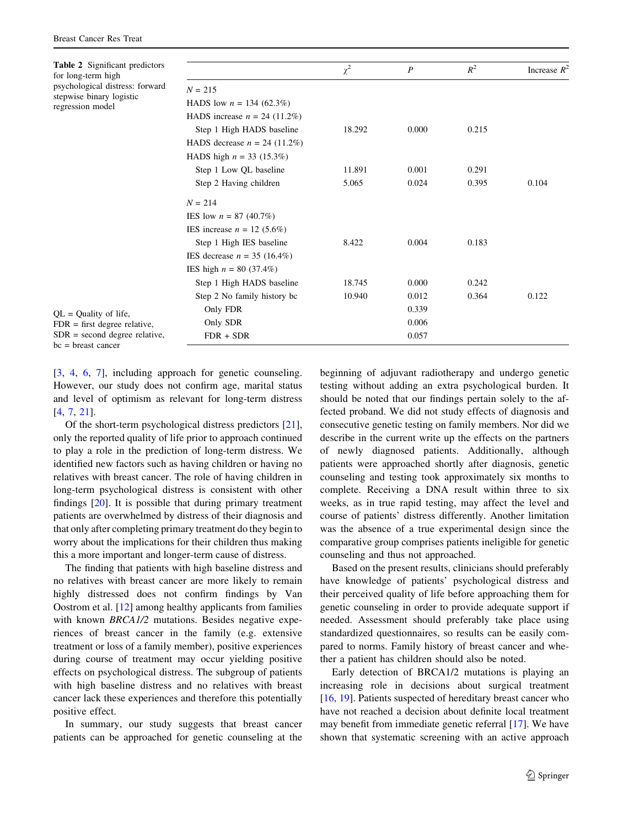<span id="page-6-0"></span>

| <b>Table 2</b> Significant predictors<br>for long-term high<br>psychological distress: forward<br>stepwise binary logistic<br>regression model<br>$QL = Quality of life,$<br>$FDR = first degree relative,$<br>$SDR = second degree relative,$ |                                | $\chi^2$ | $\boldsymbol{P}$ | $R^2$ | Increase $R^2$ |  |  |  |  |
|------------------------------------------------------------------------------------------------------------------------------------------------------------------------------------------------------------------------------------------------|--------------------------------|----------|------------------|-------|----------------|--|--|--|--|
|                                                                                                                                                                                                                                                | $N = 215$                      |          |                  |       |                |  |  |  |  |
|                                                                                                                                                                                                                                                | HADS low $n = 134$ (62.3%)     |          |                  |       |                |  |  |  |  |
|                                                                                                                                                                                                                                                | HADS increase $n = 24$ (11.2%) |          |                  |       |                |  |  |  |  |
|                                                                                                                                                                                                                                                | Step 1 High HADS baseline      | 18.292   | 0.000            | 0.215 |                |  |  |  |  |
|                                                                                                                                                                                                                                                | HADS decrease $n = 24$ (11.2%) |          |                  |       |                |  |  |  |  |
|                                                                                                                                                                                                                                                | HADS high $n = 33$ (15.3%)     |          |                  |       |                |  |  |  |  |
|                                                                                                                                                                                                                                                | Step 1 Low QL baseline         | 11.891   | 0.001            | 0.291 |                |  |  |  |  |
|                                                                                                                                                                                                                                                | Step 2 Having children         | 5.065    | 0.024            | 0.395 | 0.104          |  |  |  |  |
|                                                                                                                                                                                                                                                | $N = 214$                      |          |                  |       |                |  |  |  |  |
|                                                                                                                                                                                                                                                | IES low $n = 87$ (40.7%)       |          |                  |       |                |  |  |  |  |
|                                                                                                                                                                                                                                                | IES increase $n = 12$ (5.6%)   |          |                  |       |                |  |  |  |  |
|                                                                                                                                                                                                                                                | Step 1 High IES baseline       | 8.422    | 0.004            | 0.183 |                |  |  |  |  |
|                                                                                                                                                                                                                                                | IES decrease $n = 35$ (16.4%)  |          |                  |       |                |  |  |  |  |
|                                                                                                                                                                                                                                                | IES high $n = 80$ (37.4%)      |          |                  |       |                |  |  |  |  |
|                                                                                                                                                                                                                                                | Step 1 High HADS baseline      | 18.745   | 0.000            | 0.242 |                |  |  |  |  |
|                                                                                                                                                                                                                                                | Step 2 No family history be    | 10.940   | 0.012            | 0.364 | 0.122          |  |  |  |  |
|                                                                                                                                                                                                                                                | Only FDR                       |          | 0.339            |       |                |  |  |  |  |
|                                                                                                                                                                                                                                                | Only SDR                       |          | 0.006            |       |                |  |  |  |  |
|                                                                                                                                                                                                                                                | $FDR + SDR$                    |          | 0.057            |       |                |  |  |  |  |
| $bc = breast cancer$                                                                                                                                                                                                                           |                                |          |                  |       |                |  |  |  |  |

[\[3](#page-7-0), [4,](#page-7-0) [6](#page-7-0), [7\]](#page-7-0), including approach for genetic counseling. However, our study does not confirm age, marital status and level of optimism as relevant for long-term distress [\[4](#page-7-0), [7](#page-7-0), [21\]](#page-7-0).

Of the short-term psychological distress predictors [\[21](#page-7-0)], only the reported quality of life prior to approach continued to play a role in the prediction of long-term distress. We identified new factors such as having children or having no relatives with breast cancer. The role of having children in long-term psychological distress is consistent with other findings [\[20](#page-7-0)]. It is possible that during primary treatment patients are overwhelmed by distress of their diagnosis and that only after completing primary treatment do they begin to worry about the implications for their children thus making this a more important and longer-term cause of distress.

The finding that patients with high baseline distress and no relatives with breast cancer are more likely to remain highly distressed does not confirm findings by Van Oostrom et al. [[12\]](#page-7-0) among healthy applicants from families with known *BRCA1/2* mutations. Besides negative experiences of breast cancer in the family (e.g. extensive treatment or loss of a family member), positive experiences during course of treatment may occur yielding positive effects on psychological distress. The subgroup of patients with high baseline distress and no relatives with breast cancer lack these experiences and therefore this potentially positive effect.

In summary, our study suggests that breast cancer patients can be approached for genetic counseling at the beginning of adjuvant radiotherapy and undergo genetic testing without adding an extra psychological burden. It should be noted that our findings pertain solely to the affected proband. We did not study effects of diagnosis and consecutive genetic testing on family members. Nor did we describe in the current write up the effects on the partners of newly diagnosed patients. Additionally, although patients were approached shortly after diagnosis, genetic counseling and testing took approximately six months to complete. Receiving a DNA result within three to six weeks, as in true rapid testing, may affect the level and course of patients' distress differently. Another limitation was the absence of a true experimental design since the comparative group comprises patients ineligible for genetic counseling and thus not approached.

Based on the present results, clinicians should preferably have knowledge of patients' psychological distress and their perceived quality of life before approaching them for genetic counseling in order to provide adequate support if needed. Assessment should preferably take place using standardized questionnaires, so results can be easily compared to norms. Family history of breast cancer and whether a patient has children should also be noted.

Early detection of BRCA1/2 mutations is playing an increasing role in decisions about surgical treatment [\[16](#page-7-0), [19](#page-7-0)]. Patients suspected of hereditary breast cancer who have not reached a decision about definite local treatment may benefit from immediate genetic referral [\[17](#page-7-0)]. We have shown that systematic screening with an active approach